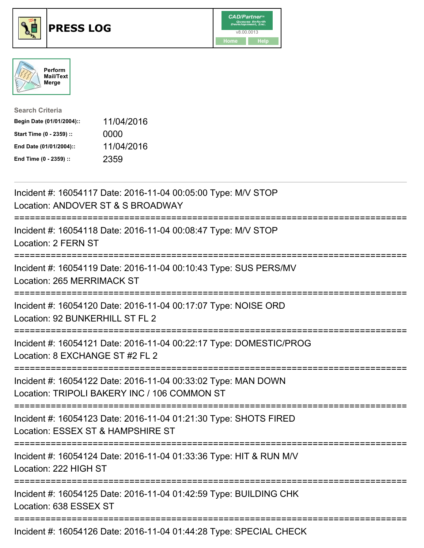





| <b>Search Criteria</b>    |            |
|---------------------------|------------|
| Begin Date (01/01/2004):: | 11/04/2016 |
| Start Time (0 - 2359) ::  | 0000       |
| End Date (01/01/2004)::   | 11/04/2016 |
| End Time (0 - 2359) ::    | 2359       |

| Incident #: 16054117 Date: 2016-11-04 00:05:00 Type: M/V STOP<br>Location: ANDOVER ST & S BROADWAY                                              |
|-------------------------------------------------------------------------------------------------------------------------------------------------|
| Incident #: 16054118 Date: 2016-11-04 00:08:47 Type: M/V STOP<br>Location: 2 FERN ST                                                            |
| Incident #: 16054119 Date: 2016-11-04 00:10:43 Type: SUS PERS/MV<br>Location: 265 MERRIMACK ST                                                  |
| Incident #: 16054120 Date: 2016-11-04 00:17:07 Type: NOISE ORD<br>Location: 92 BUNKERHILL ST FL 2                                               |
| Incident #: 16054121 Date: 2016-11-04 00:22:17 Type: DOMESTIC/PROG<br>Location: 8 EXCHANGE ST #2 FL 2<br>================                       |
| Incident #: 16054122 Date: 2016-11-04 00:33:02 Type: MAN DOWN<br>Location: TRIPOLI BAKERY INC / 106 COMMON ST<br>============================== |
| Incident #: 16054123 Date: 2016-11-04 01:21:30 Type: SHOTS FIRED<br>Location: ESSEX ST & HAMPSHIRE ST                                           |
| Incident #: 16054124 Date: 2016-11-04 01:33:36 Type: HIT & RUN M/V<br>Location: 222 HIGH ST<br>--------------------------------------           |
| Incident #: 16054125 Date: 2016-11-04 01:42:59 Type: BUILDING CHK<br>Location: 638 ESSEX ST                                                     |
| Incident #: 16054126 Date: 2016-11-04 01:44:28 Type: SPECIAL CHECK                                                                              |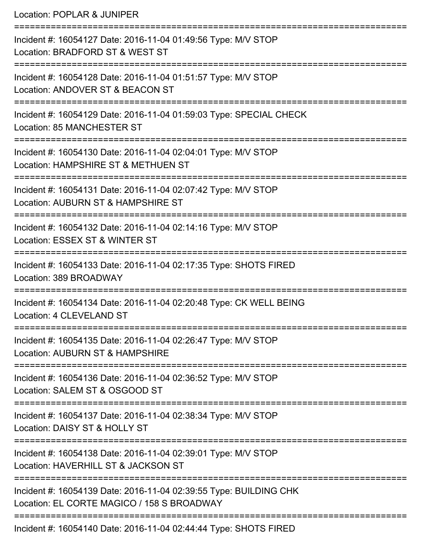Location: POPLAR & JUNIPER

| Incident #: 16054127 Date: 2016-11-04 01:49:56 Type: M/V STOP<br>Location: BRADFORD ST & WEST ST                |
|-----------------------------------------------------------------------------------------------------------------|
| Incident #: 16054128 Date: 2016-11-04 01:51:57 Type: M/V STOP<br>Location: ANDOVER ST & BEACON ST               |
| Incident #: 16054129 Date: 2016-11-04 01:59:03 Type: SPECIAL CHECK<br>Location: 85 MANCHESTER ST                |
| Incident #: 16054130 Date: 2016-11-04 02:04:01 Type: M/V STOP<br>Location: HAMPSHIRE ST & METHUEN ST            |
| Incident #: 16054131 Date: 2016-11-04 02:07:42 Type: M/V STOP<br>Location: AUBURN ST & HAMPSHIRE ST             |
| Incident #: 16054132 Date: 2016-11-04 02:14:16 Type: M/V STOP<br>Location: ESSEX ST & WINTER ST                 |
| Incident #: 16054133 Date: 2016-11-04 02:17:35 Type: SHOTS FIRED<br>Location: 389 BROADWAY                      |
| Incident #: 16054134 Date: 2016-11-04 02:20:48 Type: CK WELL BEING<br>Location: 4 CLEVELAND ST                  |
| Incident #: 16054135 Date: 2016-11-04 02:26:47 Type: M/V STOP<br>Location: AUBURN ST & HAMPSHIRE                |
| Incident #: 16054136 Date: 2016-11-04 02:36:52 Type: M/V STOP<br>Location: SALEM ST & OSGOOD ST                 |
| Incident #: 16054137 Date: 2016-11-04 02:38:34 Type: M/V STOP<br>Location: DAISY ST & HOLLY ST                  |
| Incident #: 16054138 Date: 2016-11-04 02:39:01 Type: M/V STOP<br>Location: HAVERHILL ST & JACKSON ST            |
| Incident #: 16054139 Date: 2016-11-04 02:39:55 Type: BUILDING CHK<br>Location: EL CORTE MAGICO / 158 S BROADWAY |
| Incident #: 16054140 Date: 2016-11-04 02:44:44 Type: SHOTS FIRED                                                |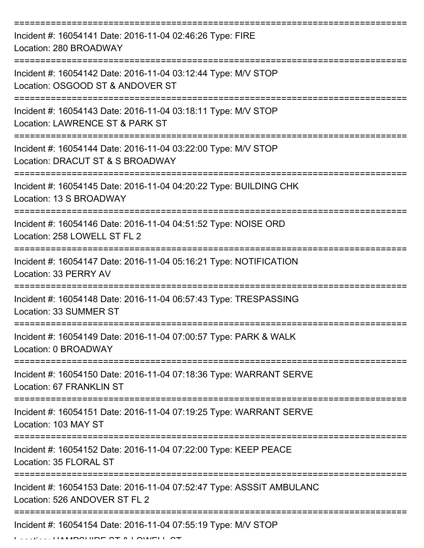| Incident #: 16054141 Date: 2016-11-04 02:46:26 Type: FIRE<br>Location: 280 BROADWAY                                                                                       |
|---------------------------------------------------------------------------------------------------------------------------------------------------------------------------|
| Incident #: 16054142 Date: 2016-11-04 03:12:44 Type: M/V STOP<br>Location: OSGOOD ST & ANDOVER ST                                                                         |
| Incident #: 16054143 Date: 2016-11-04 03:18:11 Type: M/V STOP<br>Location: LAWRENCE ST & PARK ST                                                                          |
| Incident #: 16054144 Date: 2016-11-04 03:22:00 Type: M/V STOP<br>Location: DRACUT ST & S BROADWAY                                                                         |
| Incident #: 16054145 Date: 2016-11-04 04:20:22 Type: BUILDING CHK<br>Location: 13 S BROADWAY                                                                              |
| Incident #: 16054146 Date: 2016-11-04 04:51:52 Type: NOISE ORD<br>Location: 258 LOWELL ST FL 2                                                                            |
| Incident #: 16054147 Date: 2016-11-04 05:16:21 Type: NOTIFICATION<br>Location: 33 PERRY AV                                                                                |
| Incident #: 16054148 Date: 2016-11-04 06:57:43 Type: TRESPASSING<br>Location: 33 SUMMER ST                                                                                |
| Incident #: 16054149 Date: 2016-11-04 07:00:57 Type: PARK & WALK<br>Location: 0 BROADWAY                                                                                  |
| Incident #: 16054150 Date: 2016-11-04 07:18:36 Type: WARRANT SERVE<br>Location: 67 FRANKLIN ST                                                                            |
| Incident #: 16054151 Date: 2016-11-04 07:19:25 Type: WARRANT SERVE<br>Location: 103 MAY ST<br>===================================<br>;=================================== |
| Incident #: 16054152 Date: 2016-11-04 07:22:00 Type: KEEP PEACE<br>Location: 35 FLORAL ST                                                                                 |
| Incident #: 16054153 Date: 2016-11-04 07:52:47 Type: ASSSIT AMBULANC<br>Location: 526 ANDOVER ST FL 2                                                                     |
| Incident #: 16054154 Date: 2016-11-04 07:55:19 Type: M/V STOP                                                                                                             |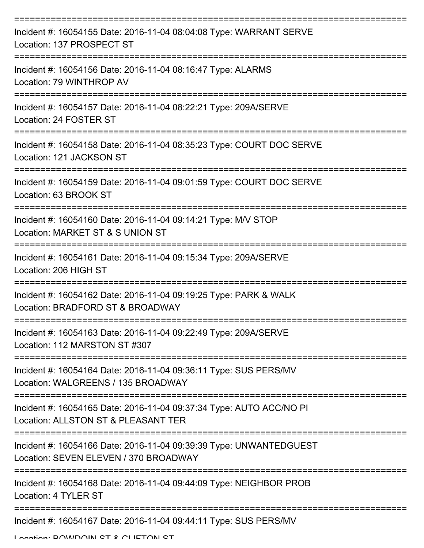| Incident #: 16054155 Date: 2016-11-04 08:04:08 Type: WARRANT SERVE<br>Location: 137 PROSPECT ST               |
|---------------------------------------------------------------------------------------------------------------|
| Incident #: 16054156 Date: 2016-11-04 08:16:47 Type: ALARMS<br>Location: 79 WINTHROP AV                       |
| Incident #: 16054157 Date: 2016-11-04 08:22:21 Type: 209A/SERVE<br>Location: 24 FOSTER ST                     |
| Incident #: 16054158 Date: 2016-11-04 08:35:23 Type: COURT DOC SERVE<br>Location: 121 JACKSON ST              |
| Incident #: 16054159 Date: 2016-11-04 09:01:59 Type: COURT DOC SERVE<br>Location: 63 BROOK ST                 |
| Incident #: 16054160 Date: 2016-11-04 09:14:21 Type: M/V STOP<br>Location: MARKET ST & S UNION ST             |
| =================<br>Incident #: 16054161 Date: 2016-11-04 09:15:34 Type: 209A/SERVE<br>Location: 206 HIGH ST |
| Incident #: 16054162 Date: 2016-11-04 09:19:25 Type: PARK & WALK<br>Location: BRADFORD ST & BROADWAY          |
| Incident #: 16054163 Date: 2016-11-04 09:22:49 Type: 209A/SERVE<br>Location: 112 MARSTON ST #307              |
| Incident #: 16054164 Date: 2016-11-04 09:36:11 Type: SUS PERS/MV<br>Location: WALGREENS / 135 BROADWAY        |
| Incident #: 16054165 Date: 2016-11-04 09:37:34 Type: AUTO ACC/NO PI<br>Location: ALLSTON ST & PLEASANT TER    |
| Incident #: 16054166 Date: 2016-11-04 09:39:39 Type: UNWANTEDGUEST<br>Location: SEVEN ELEVEN / 370 BROADWAY   |
| Incident #: 16054168 Date: 2016-11-04 09:44:09 Type: NEIGHBOR PROB<br>Location: 4 TYLER ST                    |
| Incident #: 16054167 Date: 2016-11-04 09:44:11 Type: SUS PERS/MV                                              |

Location: **BOWDOIN ST & CLIETON ST**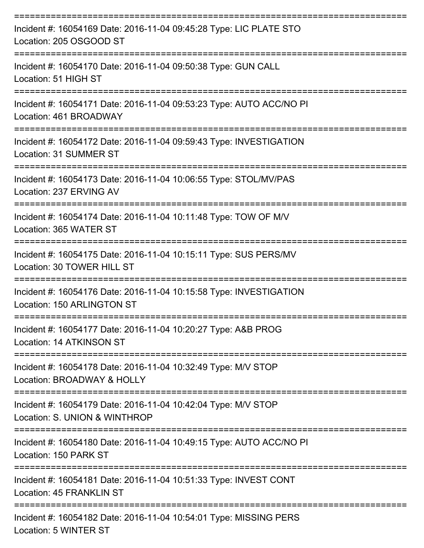| Incident #: 16054169 Date: 2016-11-04 09:45:28 Type: LIC PLATE STO<br>Location: 205 OSGOOD ST    |
|--------------------------------------------------------------------------------------------------|
| Incident #: 16054170 Date: 2016-11-04 09:50:38 Type: GUN CALL<br>Location: 51 HIGH ST            |
| Incident #: 16054171 Date: 2016-11-04 09:53:23 Type: AUTO ACC/NO PI<br>Location: 461 BROADWAY    |
| Incident #: 16054172 Date: 2016-11-04 09:59:43 Type: INVESTIGATION<br>Location: 31 SUMMER ST     |
| Incident #: 16054173 Date: 2016-11-04 10:06:55 Type: STOL/MV/PAS<br>Location: 237 ERVING AV      |
| Incident #: 16054174 Date: 2016-11-04 10:11:48 Type: TOW OF M/V<br>Location: 365 WATER ST        |
| Incident #: 16054175 Date: 2016-11-04 10:15:11 Type: SUS PERS/MV<br>Location: 30 TOWER HILL ST   |
| Incident #: 16054176 Date: 2016-11-04 10:15:58 Type: INVESTIGATION<br>Location: 150 ARLINGTON ST |
| Incident #: 16054177 Date: 2016-11-04 10:20:27 Type: A&B PROG<br>Location: 14 ATKINSON ST        |
| Incident #: 16054178 Date: 2016-11-04 10:32:49 Type: M/V STOP<br>Location: BROADWAY & HOLLY      |
| Incident #: 16054179 Date: 2016-11-04 10:42:04 Type: M/V STOP<br>Location: S. UNION & WINTHROP   |
| Incident #: 16054180 Date: 2016-11-04 10:49:15 Type: AUTO ACC/NO PI<br>Location: 150 PARK ST     |
| Incident #: 16054181 Date: 2016-11-04 10:51:33 Type: INVEST CONT<br>Location: 45 FRANKLIN ST     |
| Incident #: 16054182 Date: 2016-11-04 10:54:01 Type: MISSING PERS<br>Location: 5 WINTER ST       |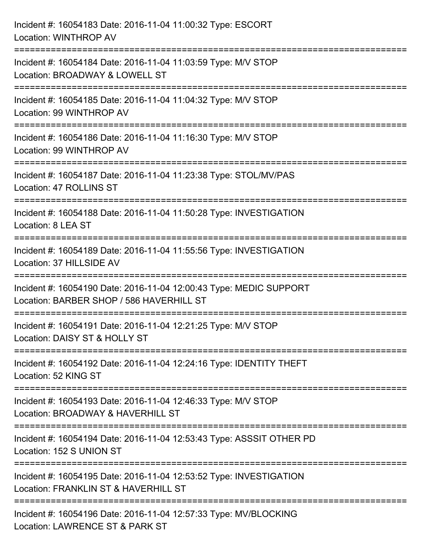| Incident #: 16054183 Date: 2016-11-04 11:00:32 Type: ESCORT<br>Location: WINTHROP AV                                              |
|-----------------------------------------------------------------------------------------------------------------------------------|
| Incident #: 16054184 Date: 2016-11-04 11:03:59 Type: M/V STOP<br>Location: BROADWAY & LOWELL ST                                   |
| Incident #: 16054185 Date: 2016-11-04 11:04:32 Type: M/V STOP<br>Location: 99 WINTHROP AV<br>;=================================== |
| Incident #: 16054186 Date: 2016-11-04 11:16:30 Type: M/V STOP<br>Location: 99 WINTHROP AV                                         |
| Incident #: 16054187 Date: 2016-11-04 11:23:38 Type: STOL/MV/PAS<br>Location: 47 ROLLINS ST                                       |
| Incident #: 16054188 Date: 2016-11-04 11:50:28 Type: INVESTIGATION<br>Location: 8 LEA ST                                          |
| Incident #: 16054189 Date: 2016-11-04 11:55:56 Type: INVESTIGATION<br>Location: 37 HILLSIDE AV                                    |
| Incident #: 16054190 Date: 2016-11-04 12:00:43 Type: MEDIC SUPPORT<br>Location: BARBER SHOP / 586 HAVERHILL ST                    |
| Incident #: 16054191 Date: 2016-11-04 12:21:25 Type: M/V STOP<br>Location: DAISY ST & HOLLY ST                                    |
| Incident #: 16054192 Date: 2016-11-04 12:24:16 Type: IDENTITY THEFT<br>Location: 52 KING ST                                       |
| Incident #: 16054193 Date: 2016-11-04 12:46:33 Type: M/V STOP<br>Location: BROADWAY & HAVERHILL ST                                |
| Incident #: 16054194 Date: 2016-11-04 12:53:43 Type: ASSSIT OTHER PD<br>Location: 152 S UNION ST                                  |
| Incident #: 16054195 Date: 2016-11-04 12:53:52 Type: INVESTIGATION<br>Location: FRANKLIN ST & HAVERHILL ST                        |
| Incident #: 16054196 Date: 2016-11-04 12:57:33 Type: MV/BLOCKING<br>Location: LAWRENCE ST & PARK ST                               |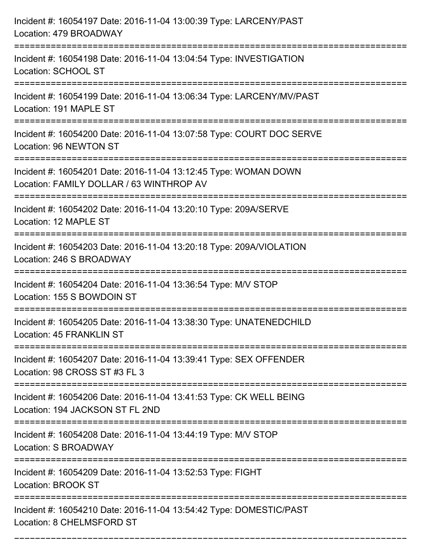| Incident #: 16054197 Date: 2016-11-04 13:00:39 Type: LARCENY/PAST<br>Location: 479 BROADWAY                 |
|-------------------------------------------------------------------------------------------------------------|
| Incident #: 16054198 Date: 2016-11-04 13:04:54 Type: INVESTIGATION<br>Location: SCHOOL ST                   |
| Incident #: 16054199 Date: 2016-11-04 13:06:34 Type: LARCENY/MV/PAST<br>Location: 191 MAPLE ST              |
| Incident #: 16054200 Date: 2016-11-04 13:07:58 Type: COURT DOC SERVE<br>Location: 96 NEWTON ST              |
| Incident #: 16054201 Date: 2016-11-04 13:12:45 Type: WOMAN DOWN<br>Location: FAMILY DOLLAR / 63 WINTHROP AV |
| Incident #: 16054202 Date: 2016-11-04 13:20:10 Type: 209A/SERVE<br>Location: 12 MAPLE ST                    |
| Incident #: 16054203 Date: 2016-11-04 13:20:18 Type: 209A/VIOLATION<br>Location: 246 S BROADWAY             |
| Incident #: 16054204 Date: 2016-11-04 13:36:54 Type: M/V STOP<br>Location: 155 S BOWDOIN ST                 |
| Incident #: 16054205 Date: 2016-11-04 13:38:30 Type: UNATENEDCHILD<br>Location: 45 FRANKLIN ST              |
| Incident #: 16054207 Date: 2016-11-04 13:39:41 Type: SEX OFFENDER<br>Location: 98 CROSS ST #3 FL 3          |
| Incident #: 16054206 Date: 2016-11-04 13:41:53 Type: CK WELL BEING<br>Location: 194 JACKSON ST FL 2ND       |
| Incident #: 16054208 Date: 2016-11-04 13:44:19 Type: M/V STOP<br>Location: S BROADWAY                       |
| Incident #: 16054209 Date: 2016-11-04 13:52:53 Type: FIGHT<br><b>Location: BROOK ST</b>                     |
| Incident #: 16054210 Date: 2016-11-04 13:54:42 Type: DOMESTIC/PAST<br>Location: 8 CHELMSFORD ST             |

===========================================================================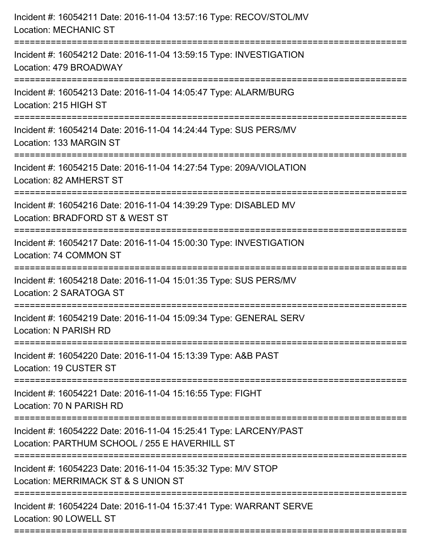| Incident #: 16054211 Date: 2016-11-04 13:57:16 Type: RECOV/STOL/MV<br><b>Location: MECHANIC ST</b>                 |
|--------------------------------------------------------------------------------------------------------------------|
| Incident #: 16054212 Date: 2016-11-04 13:59:15 Type: INVESTIGATION<br>Location: 479 BROADWAY                       |
| Incident #: 16054213 Date: 2016-11-04 14:05:47 Type: ALARM/BURG<br>Location: 215 HIGH ST                           |
| Incident #: 16054214 Date: 2016-11-04 14:24:44 Type: SUS PERS/MV<br>Location: 133 MARGIN ST                        |
| Incident #: 16054215 Date: 2016-11-04 14:27:54 Type: 209A/VIOLATION<br>Location: 82 AMHERST ST                     |
| Incident #: 16054216 Date: 2016-11-04 14:39:29 Type: DISABLED MV<br>Location: BRADFORD ST & WEST ST                |
| Incident #: 16054217 Date: 2016-11-04 15:00:30 Type: INVESTIGATION<br>Location: 74 COMMON ST                       |
| Incident #: 16054218 Date: 2016-11-04 15:01:35 Type: SUS PERS/MV<br>Location: 2 SARATOGA ST                        |
| Incident #: 16054219 Date: 2016-11-04 15:09:34 Type: GENERAL SERV<br>Location: N PARISH RD                         |
| Incident #: 16054220 Date: 2016-11-04 15:13:39 Type: A&B PAST<br>Location: 19 CUSTER ST                            |
| Incident #: 16054221 Date: 2016-11-04 15:16:55 Type: FIGHT<br>Location: 70 N PARISH RD                             |
| Incident #: 16054222 Date: 2016-11-04 15:25:41 Type: LARCENY/PAST<br>Location: PARTHUM SCHOOL / 255 E HAVERHILL ST |
| Incident #: 16054223 Date: 2016-11-04 15:35:32 Type: M/V STOP<br>Location: MERRIMACK ST & S UNION ST               |
| Incident #: 16054224 Date: 2016-11-04 15:37:41 Type: WARRANT SERVE<br>Location: 90 LOWELL ST                       |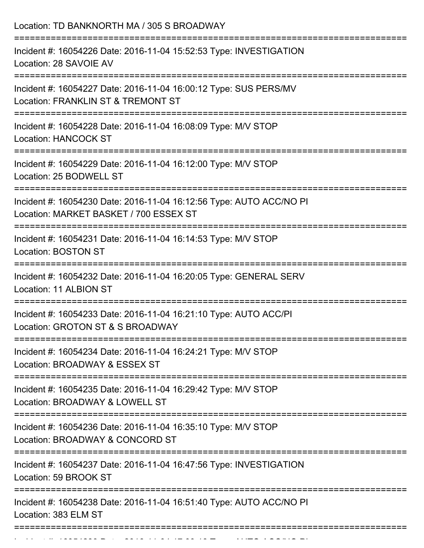| Location: TD BANKNORTH MA / 305 S BROADWAY                                                                                             |
|----------------------------------------------------------------------------------------------------------------------------------------|
| Incident #: 16054226 Date: 2016-11-04 15:52:53 Type: INVESTIGATION<br>Location: 28 SAVOIE AV                                           |
| Incident #: 16054227 Date: 2016-11-04 16:00:12 Type: SUS PERS/MV<br>Location: FRANKLIN ST & TREMONT ST<br>============================ |
| Incident #: 16054228 Date: 2016-11-04 16:08:09 Type: M/V STOP<br><b>Location: HANCOCK ST</b>                                           |
| Incident #: 16054229 Date: 2016-11-04 16:12:00 Type: M/V STOP<br>Location: 25 BODWELL ST                                               |
| Incident #: 16054230 Date: 2016-11-04 16:12:56 Type: AUTO ACC/NO PI<br>Location: MARKET BASKET / 700 ESSEX ST                          |
| Incident #: 16054231 Date: 2016-11-04 16:14:53 Type: M/V STOP<br><b>Location: BOSTON ST</b>                                            |
| Incident #: 16054232 Date: 2016-11-04 16:20:05 Type: GENERAL SERV<br>Location: 11 ALBION ST                                            |
| Incident #: 16054233 Date: 2016-11-04 16:21:10 Type: AUTO ACC/PI<br>Location: GROTON ST & S BROADWAY                                   |
| Incident #: 16054234 Date: 2016-11-04 16:24:21 Type: M/V STOP<br>Location: BROADWAY & ESSEX ST                                         |
| Incident #: 16054235 Date: 2016-11-04 16:29:42 Type: M/V STOP<br>Location: BROADWAY & LOWELL ST                                        |
| Incident #: 16054236 Date: 2016-11-04 16:35:10 Type: M/V STOP<br>Location: BROADWAY & CONCORD ST                                       |
| Incident #: 16054237 Date: 2016-11-04 16:47:56 Type: INVESTIGATION<br>Location: 59 BROOK ST                                            |
| Incident #: 16054238 Date: 2016-11-04 16:51:40 Type: AUTO ACC/NO PI<br>Location: 383 ELM ST                                            |

Incident #: 16054239 Date: 2016 11 04 17:00:18 Date: 2016 12:00:18 Date: 2016 12:00:18 Type: 2016 12:00:18 Typ<br>.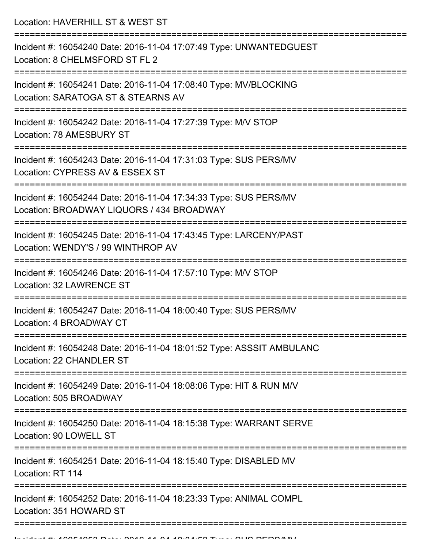Location: HAVERHILL ST & WEST ST

| Incident #: 16054240 Date: 2016-11-04 17:07:49 Type: UNWANTEDGUEST<br>Location: 8 CHELMSFORD ST FL 2                          |
|-------------------------------------------------------------------------------------------------------------------------------|
| Incident #: 16054241 Date: 2016-11-04 17:08:40 Type: MV/BLOCKING<br>Location: SARATOGA ST & STEARNS AV                        |
| Incident #: 16054242 Date: 2016-11-04 17:27:39 Type: M/V STOP<br>Location: 78 AMESBURY ST                                     |
| Incident #: 16054243 Date: 2016-11-04 17:31:03 Type: SUS PERS/MV<br>Location: CYPRESS AV & ESSEX ST                           |
| Incident #: 16054244 Date: 2016-11-04 17:34:33 Type: SUS PERS/MV<br>Location: BROADWAY LIQUORS / 434 BROADWAY                 |
| Incident #: 16054245 Date: 2016-11-04 17:43:45 Type: LARCENY/PAST<br>Location: WENDY'S / 99 WINTHROP AV                       |
| Incident #: 16054246 Date: 2016-11-04 17:57:10 Type: M/V STOP<br>Location: 32 LAWRENCE ST                                     |
| Incident #: 16054247 Date: 2016-11-04 18:00:40 Type: SUS PERS/MV<br>Location: 4 BROADWAY CT                                   |
| Incident #: 16054248 Date: 2016-11-04 18:01:52 Type: ASSSIT AMBULANC<br><b>Location: 22 CHANDLER ST</b>                       |
| ------------<br>Incident #: 16054249 Date: 2016-11-04 18:08:06 Type: HIT & RUN M/V<br>Location: 505 BROADWAY                  |
| -----------------------<br>Incident #: 16054250 Date: 2016-11-04 18:15:38 Type: WARRANT SERVE<br>Location: 90 LOWELL ST       |
| =====================================<br>Incident #: 16054251 Date: 2016-11-04 18:15:40 Type: DISABLED MV<br>Location: RT 114 |
| Incident #: 16054252 Date: 2016-11-04 18:23:33 Type: ANIMAL COMPL<br>Location: 351 HOWARD ST                                  |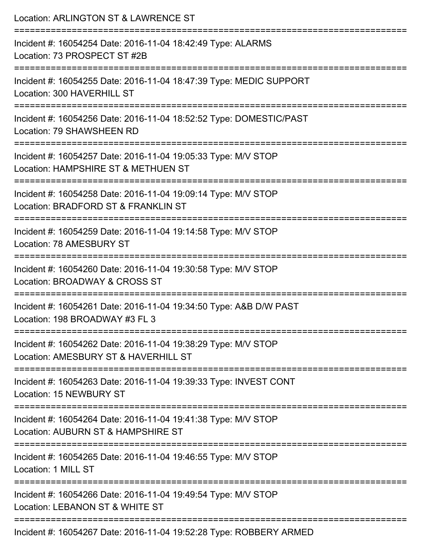| Location: ARLINGTON ST & LAWRENCE ST<br>==================<br>================================                    |
|-------------------------------------------------------------------------------------------------------------------|
| Incident #: 16054254 Date: 2016-11-04 18:42:49 Type: ALARMS<br>Location: 73 PROSPECT ST #2B                       |
| Incident #: 16054255 Date: 2016-11-04 18:47:39 Type: MEDIC SUPPORT<br>Location: 300 HAVERHILL ST                  |
| Incident #: 16054256 Date: 2016-11-04 18:52:52 Type: DOMESTIC/PAST<br>Location: 79 SHAWSHEEN RD                   |
| Incident #: 16054257 Date: 2016-11-04 19:05:33 Type: M/V STOP<br>Location: HAMPSHIRE ST & METHUEN ST              |
| Incident #: 16054258 Date: 2016-11-04 19:09:14 Type: M/V STOP<br>Location: BRADFORD ST & FRANKLIN ST              |
| :===================<br>Incident #: 16054259 Date: 2016-11-04 19:14:58 Type: M/V STOP<br>Location: 78 AMESBURY ST |
| Incident #: 16054260 Date: 2016-11-04 19:30:58 Type: M/V STOP<br>Location: BROADWAY & CROSS ST                    |
| Incident #: 16054261 Date: 2016-11-04 19:34:50 Type: A&B D/W PAST<br>Location: 198 BROADWAY #3 FL 3               |
| Incident #: 16054262 Date: 2016-11-04 19:38:29 Type: M/V STOP<br>Location: AMESBURY ST & HAVERHILL ST             |
| Incident #: 16054263 Date: 2016-11-04 19:39:33 Type: INVEST CONT<br><b>Location: 15 NEWBURY ST</b>                |
| Incident #: 16054264 Date: 2016-11-04 19:41:38 Type: M/V STOP<br>Location: AUBURN ST & HAMPSHIRE ST               |
| Incident #: 16054265 Date: 2016-11-04 19:46:55 Type: M/V STOP<br>Location: 1 MILL ST                              |
| Incident #: 16054266 Date: 2016-11-04 19:49:54 Type: M/V STOP<br>Location: LEBANON ST & WHITE ST                  |
| Incident #: 16054267 Date: 2016-11-04 19:52:28 Type: ROBBERY ARMED                                                |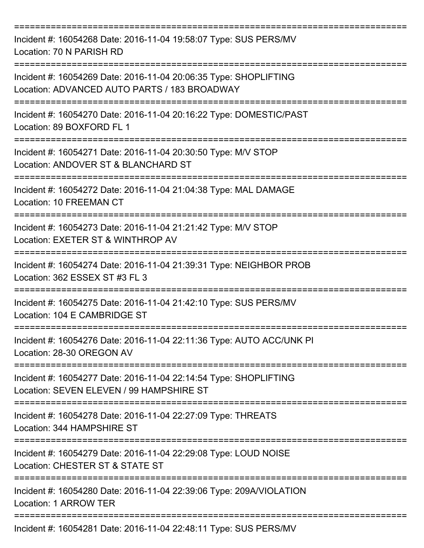| Incident #: 16054268 Date: 2016-11-04 19:58:07 Type: SUS PERS/MV<br>Location: 70 N PARISH RD<br>------------     |
|------------------------------------------------------------------------------------------------------------------|
| Incident #: 16054269 Date: 2016-11-04 20:06:35 Type: SHOPLIFTING<br>Location: ADVANCED AUTO PARTS / 183 BROADWAY |
| Incident #: 16054270 Date: 2016-11-04 20:16:22 Type: DOMESTIC/PAST<br>Location: 89 BOXFORD FL 1                  |
| Incident #: 16054271 Date: 2016-11-04 20:30:50 Type: M/V STOP<br>Location: ANDOVER ST & BLANCHARD ST             |
| Incident #: 16054272 Date: 2016-11-04 21:04:38 Type: MAL DAMAGE<br><b>Location: 10 FREEMAN CT</b>                |
| Incident #: 16054273 Date: 2016-11-04 21:21:42 Type: M/V STOP<br>Location: EXETER ST & WINTHROP AV               |
| Incident #: 16054274 Date: 2016-11-04 21:39:31 Type: NEIGHBOR PROB<br>Location: 362 ESSEX ST #3 FL 3             |
| Incident #: 16054275 Date: 2016-11-04 21:42:10 Type: SUS PERS/MV<br>Location: 104 E CAMBRIDGE ST                 |
| Incident #: 16054276 Date: 2016-11-04 22:11:36 Type: AUTO ACC/UNK PI<br>Location: 28-30 OREGON AV                |
| Incident #: 16054277 Date: 2016-11-04 22:14:54 Type: SHOPLIFTING<br>Location: SEVEN ELEVEN / 99 HAMPSHIRE ST     |
| Incident #: 16054278 Date: 2016-11-04 22:27:09 Type: THREATS<br>Location: 344 HAMPSHIRE ST                       |
| Incident #: 16054279 Date: 2016-11-04 22:29:08 Type: LOUD NOISE<br>Location: CHESTER ST & STATE ST               |
| Incident #: 16054280 Date: 2016-11-04 22:39:06 Type: 209A/VIOLATION<br>Location: 1 ARROW TER                     |
| Incident #: 16054281 Date: 2016-11-04 22:48:11 Type: SUS PERS/MV                                                 |